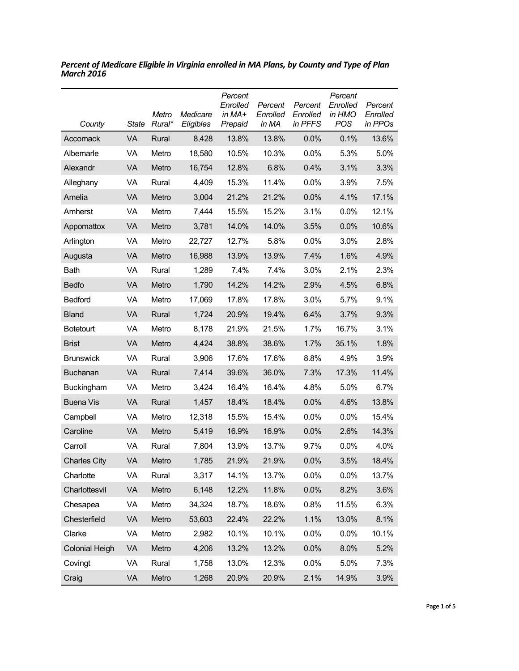| County                | <b>State</b> | Metro<br>Rural* | Medicare<br>Eligibles | Percent<br>Enrolled<br>in MA+<br>Prepaid | Percent<br>Enrolled<br>in MA | Percent<br>Enrolled<br>in PFFS | Percent<br>Enrolled<br>in HMO<br><b>POS</b> | Percent<br>Enrolled<br>in PPOs |
|-----------------------|--------------|-----------------|-----------------------|------------------------------------------|------------------------------|--------------------------------|---------------------------------------------|--------------------------------|
| Accomack              | VA           | Rural           | 8,428                 | 13.8%                                    | 13.8%                        | 0.0%                           | 0.1%                                        | 13.6%                          |
| Albemarle             | VA           | Metro           | 18,580                | 10.5%                                    | 10.3%                        | 0.0%                           | 5.3%                                        | 5.0%                           |
| Alexandr              | VA           | Metro           | 16,754                | 12.8%                                    | 6.8%                         | 0.4%                           | 3.1%                                        | 3.3%                           |
| Alleghany             | VA           | Rural           | 4,409                 | 15.3%                                    | 11.4%                        | 0.0%                           | 3.9%                                        | 7.5%                           |
| Amelia                | VA           | Metro           | 3,004                 | 21.2%                                    | 21.2%                        | 0.0%                           | 4.1%                                        | 17.1%                          |
| Amherst               | VA           | Metro           | 7,444                 | 15.5%                                    | 15.2%                        | 3.1%                           | 0.0%                                        | 12.1%                          |
| Appomattox            | VA           | Metro           | 3,781                 | 14.0%                                    | 14.0%                        | 3.5%                           | 0.0%                                        | 10.6%                          |
| Arlington             | VA           | Metro           | 22,727                | 12.7%                                    | 5.8%                         | 0.0%                           | 3.0%                                        | 2.8%                           |
| Augusta               | VA           | Metro           | 16,988                | 13.9%                                    | 13.9%                        | 7.4%                           | 1.6%                                        | 4.9%                           |
| Bath                  | VA           | Rural           | 1,289                 | 7.4%                                     | 7.4%                         | 3.0%                           | 2.1%                                        | 2.3%                           |
| <b>Bedfo</b>          | VA           | Metro           | 1,790                 | 14.2%                                    | 14.2%                        | 2.9%                           | 4.5%                                        | 6.8%                           |
| <b>Bedford</b>        | VA           | Metro           | 17,069                | 17.8%                                    | 17.8%                        | 3.0%                           | 5.7%                                        | 9.1%                           |
| <b>Bland</b>          | VA           | Rural           | 1,724                 | 20.9%                                    | 19.4%                        | 6.4%                           | 3.7%                                        | 9.3%                           |
| <b>Botetourt</b>      | VA           | Metro           | 8,178                 | 21.9%                                    | 21.5%                        | 1.7%                           | 16.7%                                       | 3.1%                           |
| <b>Brist</b>          | VA           | Metro           | 4,424                 | 38.8%                                    | 38.6%                        | 1.7%                           | 35.1%                                       | 1.8%                           |
| <b>Brunswick</b>      | VA           | Rural           | 3,906                 | 17.6%                                    | 17.6%                        | 8.8%                           | 4.9%                                        | 3.9%                           |
| Buchanan              | VA           | Rural           | 7,414                 | 39.6%                                    | 36.0%                        | 7.3%                           | 17.3%                                       | 11.4%                          |
| Buckingham            | VA           | Metro           | 3,424                 | 16.4%                                    | 16.4%                        | 4.8%                           | 5.0%                                        | 6.7%                           |
| <b>Buena Vis</b>      | VA           | Rural           | 1,457                 | 18.4%                                    | 18.4%                        | 0.0%                           | 4.6%                                        | 13.8%                          |
| Campbell              | VA           | Metro           | 12,318                | 15.5%                                    | 15.4%                        | 0.0%                           | 0.0%                                        | 15.4%                          |
| Caroline              | VA           | Metro           | 5,419                 | 16.9%                                    | 16.9%                        | 0.0%                           | 2.6%                                        | 14.3%                          |
| Carroll               | VA           | Rural           | 7,804                 | 13.9%                                    | 13.7%                        | 9.7%                           | 0.0%                                        | 4.0%                           |
| <b>Charles City</b>   | VA           | Metro           | 1,785                 | 21.9%                                    | 21.9%                        | 0.0%                           | 3.5%                                        | 18.4%                          |
| Charlotte             | VA           | Rural           | 3,317                 | 14.1%                                    | 13.7%                        | 0.0%                           | 0.0%                                        | 13.7%                          |
| Charlottesvil         | VA           | Metro           | 6,148                 | 12.2%                                    | 11.8%                        | 0.0%                           | 8.2%                                        | 3.6%                           |
| Chesapea              | VA           | Metro           | 34,324                | 18.7%                                    | 18.6%                        | 0.8%                           | 11.5%                                       | 6.3%                           |
| Chesterfield          | VA           | Metro           | 53,603                | 22.4%                                    | 22.2%                        | 1.1%                           | 13.0%                                       | 8.1%                           |
| Clarke                | VA           | Metro           | 2,982                 | 10.1%                                    | 10.1%                        | 0.0%                           | 0.0%                                        | 10.1%                          |
| <b>Colonial Heigh</b> | VA           | Metro           | 4,206                 | 13.2%                                    | 13.2%                        | 0.0%                           | 8.0%                                        | 5.2%                           |
| Covingt               | VA           | Rural           | 1,758                 | 13.0%                                    | 12.3%                        | 0.0%                           | 5.0%                                        | 7.3%                           |
| Craig                 | VA           | Metro           | 1,268                 | 20.9%                                    | 20.9%                        | 2.1%                           | 14.9%                                       | 3.9%                           |

*Percent of Medicare Eligible in Virginia enrolled in MA Plans, by County and Type of Plan March 2016*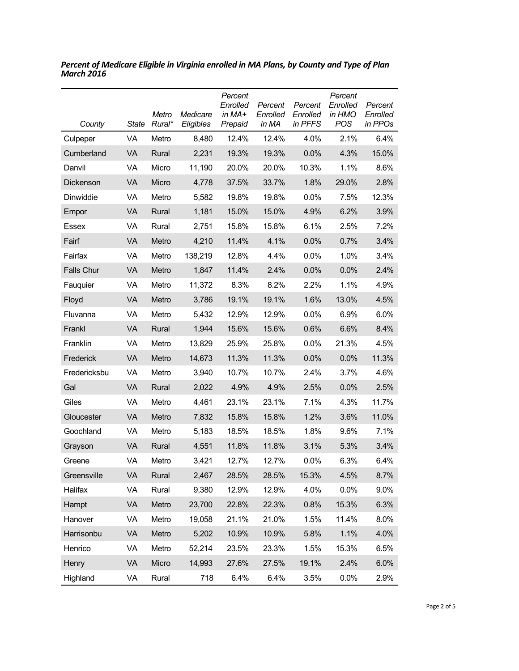| County            | <b>State</b> | Metro<br>Rural* | Medicare<br>Eligibles | Percent<br>Enrolled<br>in MA+<br>Prepaid | Percent<br>Enrolled<br>in MA | Percent<br>Enrolled<br>in PFFS | Percent<br>Enrolled<br>in HMO<br>POS | Percent<br>Enrolled<br>in PPOs |
|-------------------|--------------|-----------------|-----------------------|------------------------------------------|------------------------------|--------------------------------|--------------------------------------|--------------------------------|
| Culpeper          | VA           | Metro           | 8,480                 | 12.4%                                    | 12.4%                        | 4.0%                           | 2.1%                                 | 6.4%                           |
| Cumberland        | VA           | Rural           | 2,231                 | 19.3%                                    | 19.3%                        | 0.0%                           | 4.3%                                 | 15.0%                          |
| Danvil            | VA           | Micro           | 11,190                | 20.0%                                    | 20.0%                        | 10.3%                          | 1.1%                                 | 8.6%                           |
| Dickenson         | VA           | Micro           | 4,778                 | 37.5%                                    | 33.7%                        | 1.8%                           | 29.0%                                | 2.8%                           |
| Dinwiddie         | VA           | Metro           | 5,582                 | 19.8%                                    | 19.8%                        | 0.0%                           | 7.5%                                 | 12.3%                          |
| Empor             | VA           | Rural           | 1,181                 | 15.0%                                    | 15.0%                        | 4.9%                           | 6.2%                                 | 3.9%                           |
| Essex             | VA           | Rural           | 2,751                 | 15.8%                                    | 15.8%                        | 6.1%                           | 2.5%                                 | 7.2%                           |
| Fairf             | VA           | Metro           | 4,210                 | 11.4%                                    | 4.1%                         | 0.0%                           | 0.7%                                 | 3.4%                           |
| Fairfax           | VA           | Metro           | 138,219               | 12.8%                                    | 4.4%                         | 0.0%                           | 1.0%                                 | 3.4%                           |
| <b>Falls Chur</b> | VA           | Metro           | 1,847                 | 11.4%                                    | 2.4%                         | 0.0%                           | 0.0%                                 | 2.4%                           |
| Fauquier          | VA           | Metro           | 11,372                | 8.3%                                     | 8.2%                         | 2.2%                           | 1.1%                                 | 4.9%                           |
| Floyd             | VA           | Metro           | 3,786                 | 19.1%                                    | 19.1%                        | 1.6%                           | 13.0%                                | 4.5%                           |
| Fluvanna          | VA           | Metro           | 5,432                 | 12.9%                                    | 12.9%                        | 0.0%                           | 6.9%                                 | 6.0%                           |
| Frankl            | VA           | Rural           | 1,944                 | 15.6%                                    | 15.6%                        | 0.6%                           | 6.6%                                 | 8.4%                           |
| Franklin          | VA           | Metro           | 13,829                | 25.9%                                    | 25.8%                        | 0.0%                           | 21.3%                                | 4.5%                           |
| Frederick         | VA           | Metro           | 14,673                | 11.3%                                    | 11.3%                        | 0.0%                           | 0.0%                                 | 11.3%                          |
| Fredericksbu      | VA           | Metro           | 3,940                 | 10.7%                                    | 10.7%                        | 2.4%                           | 3.7%                                 | 4.6%                           |
| Gal               | VA           | Rural           | 2,022                 | 4.9%                                     | 4.9%                         | 2.5%                           | 0.0%                                 | 2.5%                           |
| Giles             | VA           | Metro           | 4,461                 | 23.1%                                    | 23.1%                        | 7.1%                           | 4.3%                                 | 11.7%                          |
| Gloucester        | VA           | Metro           | 7,832                 | 15.8%                                    | 15.8%                        | 1.2%                           | 3.6%                                 | 11.0%                          |
| Goochland         | VA           | Metro           | 5,183                 | 18.5%                                    | 18.5%                        | 1.8%                           | 9.6%                                 | 7.1%                           |
| Grayson           | VA           | Rural           | 4,551                 | 11.8%                                    | 11.8%                        | 3.1%                           | 5.3%                                 | 3.4%                           |
| Greene            | VA           | Metro           | 3,421                 | 12.7%                                    | 12.7%                        | 0.0%                           | 6.3%                                 | 6.4%                           |
| Greensville       | VA           | Rural           | 2,467                 | 28.5%                                    | 28.5%                        | 15.3%                          | 4.5%                                 | 8.7%                           |
| Halifax           | VA           | Rural           | 9,380                 | 12.9%                                    | 12.9%                        | 4.0%                           | 0.0%                                 | 9.0%                           |
| Hampt             | VA           | Metro           | 23,700                | 22.8%                                    | 22.3%                        | 0.8%                           | 15.3%                                | 6.3%                           |
| Hanover           | VA           | Metro           | 19,058                | 21.1%                                    | 21.0%                        | 1.5%                           | 11.4%                                | 8.0%                           |
| Harrisonbu        | VA           | Metro           | 5,202                 | 10.9%                                    | 10.9%                        | 5.8%                           | 1.1%                                 | 4.0%                           |
| Henrico           | VA           | Metro           | 52,214                | 23.5%                                    | 23.3%                        | 1.5%                           | 15.3%                                | 6.5%                           |
| Henry             | VA           | Micro           | 14,993                | 27.6%                                    | 27.5%                        | 19.1%                          | 2.4%                                 | 6.0%                           |
| Highland          | VA           | Rural           | 718                   | 6.4%                                     | 6.4%                         | 3.5%                           | 0.0%                                 | 2.9%                           |

*Percent of Medicare Eligible in Virginia enrolled in MA Plans, by County and Type of Plan March 2016*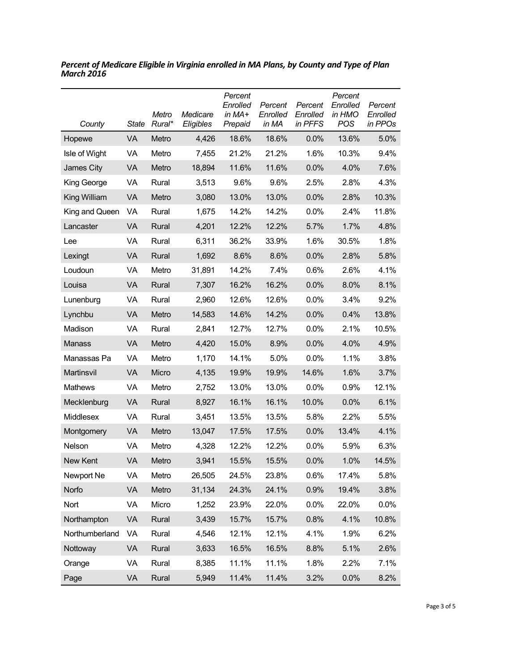| County         | State | Metro<br>Rural* | Medicare<br>Eligibles | Percent<br>Enrolled<br>in MA+<br>Prepaid | Percent<br>Enrolled<br>in MA | Percent<br>Enrolled<br>in PFFS | Percent<br>Enrolled<br>in HMO<br><b>POS</b> | Percent<br>Enrolled<br>in PPOs |
|----------------|-------|-----------------|-----------------------|------------------------------------------|------------------------------|--------------------------------|---------------------------------------------|--------------------------------|
| Hopewe         | VA    | Metro           | 4,426                 | 18.6%                                    | 18.6%                        | 0.0%                           | 13.6%                                       | 5.0%                           |
| Isle of Wight  | VA    | Metro           | 7,455                 | 21.2%                                    | 21.2%                        | 1.6%                           | 10.3%                                       | 9.4%                           |
| James City     | VA    | Metro           | 18,894                | 11.6%                                    | 11.6%                        | 0.0%                           | 4.0%                                        | 7.6%                           |
| King George    | VA    | Rural           | 3,513                 | 9.6%                                     | 9.6%                         | 2.5%                           | 2.8%                                        | 4.3%                           |
| King William   | VA    | Metro           | 3,080                 | 13.0%                                    | 13.0%                        | 0.0%                           | 2.8%                                        | 10.3%                          |
| King and Queen | VA    | Rural           | 1,675                 | 14.2%                                    | 14.2%                        | 0.0%                           | 2.4%                                        | 11.8%                          |
| Lancaster      | VA    | Rural           | 4,201                 | 12.2%                                    | 12.2%                        | 5.7%                           | 1.7%                                        | 4.8%                           |
| Lee            | VA    | Rural           | 6,311                 | 36.2%                                    | 33.9%                        | 1.6%                           | 30.5%                                       | 1.8%                           |
| Lexingt        | VA    | Rural           | 1,692                 | 8.6%                                     | 8.6%                         | 0.0%                           | 2.8%                                        | 5.8%                           |
| Loudoun        | VA    | Metro           | 31,891                | 14.2%                                    | 7.4%                         | 0.6%                           | 2.6%                                        | 4.1%                           |
| Louisa         | VA    | Rural           | 7,307                 | 16.2%                                    | 16.2%                        | 0.0%                           | 8.0%                                        | 8.1%                           |
| Lunenburg      | VA    | Rural           | 2,960                 | 12.6%                                    | 12.6%                        | 0.0%                           | 3.4%                                        | 9.2%                           |
| Lynchbu        | VA    | Metro           | 14,583                | 14.6%                                    | 14.2%                        | 0.0%                           | 0.4%                                        | 13.8%                          |
| Madison        | VA    | Rural           | 2,841                 | 12.7%                                    | 12.7%                        | 0.0%                           | 2.1%                                        | 10.5%                          |
| <b>Manass</b>  | VA    | Metro           | 4,420                 | 15.0%                                    | 8.9%                         | 0.0%                           | 4.0%                                        | 4.9%                           |
| Manassas Pa    | VA    | Metro           | 1,170                 | 14.1%                                    | 5.0%                         | 0.0%                           | 1.1%                                        | 3.8%                           |
| Martinsvil     | VA    | Micro           | 4,135                 | 19.9%                                    | 19.9%                        | 14.6%                          | 1.6%                                        | 3.7%                           |
| Mathews        | VA    | Metro           | 2,752                 | 13.0%                                    | 13.0%                        | 0.0%                           | 0.9%                                        | 12.1%                          |
| Mecklenburg    | VA    | Rural           | 8,927                 | 16.1%                                    | 16.1%                        | 10.0%                          | 0.0%                                        | 6.1%                           |
| Middlesex      | VA    | Rural           | 3,451                 | 13.5%                                    | 13.5%                        | 5.8%                           | 2.2%                                        | 5.5%                           |
| Montgomery     | VA    | Metro           | 13,047                | 17.5%                                    | 17.5%                        | 0.0%                           | 13.4%                                       | 4.1%                           |
| Nelson         | VA    | Metro           | 4,328                 | 12.2%                                    | 12.2%                        | 0.0%                           | 5.9%                                        | 6.3%                           |
| New Kent       | VA    | Metro           | 3,941                 | 15.5%                                    | 15.5%                        | 0.0%                           | 1.0%                                        | 14.5%                          |
| Newport Ne     | VA    | Metro           | 26,505                | 24.5%                                    | 23.8%                        | 0.6%                           | 17.4%                                       | 5.8%                           |
| Norfo          | VA    | Metro           | 31,134                | 24.3%                                    | 24.1%                        | 0.9%                           | 19.4%                                       | 3.8%                           |
| Nort           | VA    | Micro           | 1,252                 | 23.9%                                    | 22.0%                        | 0.0%                           | 22.0%                                       | 0.0%                           |
| Northampton    | VA    | Rural           | 3,439                 | 15.7%                                    | 15.7%                        | 0.8%                           | 4.1%                                        | 10.8%                          |
| Northumberland | VA    | Rural           | 4,546                 | 12.1%                                    | 12.1%                        | 4.1%                           | 1.9%                                        | 6.2%                           |
| Nottoway       | VA    | Rural           | 3,633                 | 16.5%                                    | 16.5%                        | 8.8%                           | 5.1%                                        | 2.6%                           |
| Orange         | VA    | Rural           | 8,385                 | 11.1%                                    | 11.1%                        | 1.8%                           | 2.2%                                        | 7.1%                           |
| Page           | VA    | Rural           | 5,949                 | 11.4%                                    | 11.4%                        | 3.2%                           | 0.0%                                        | 8.2%                           |

*Percent of Medicare Eligible in Virginia enrolled in MA Plans, by County and Type of Plan March 2016*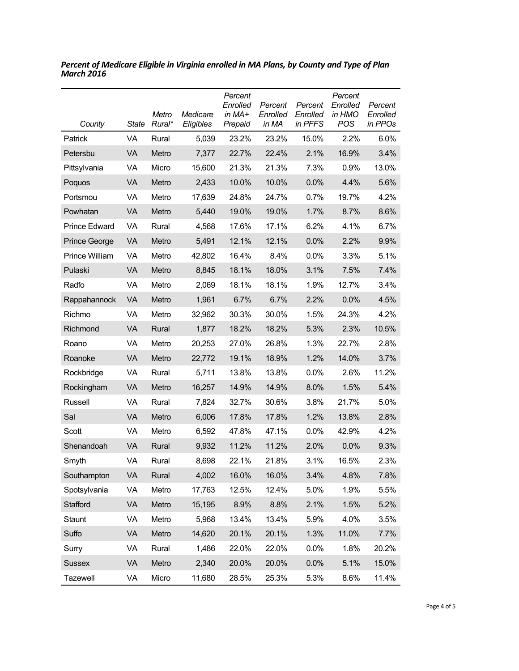| County                | State     | Metro<br>Rural* | Medicare<br>Eligibles | Percent<br>Enrolled<br>in $MA+$<br>Prepaid | Percent<br>Enrolled<br>in MA | Percent<br>Enrolled<br>in PFFS | Percent<br>Enrolled<br>in HMO<br><b>POS</b> | Percent<br>Enrolled<br>in PPOs |
|-----------------------|-----------|-----------------|-----------------------|--------------------------------------------|------------------------------|--------------------------------|---------------------------------------------|--------------------------------|
| Patrick               | <b>VA</b> | Rural           | 5,039                 | 23.2%                                      | 23.2%                        | 15.0%                          | 2.2%                                        | 6.0%                           |
| Petersbu              | VA        | Metro           | 7,377                 | 22.7%                                      | 22.4%                        | 2.1%                           | 16.9%                                       | 3.4%                           |
| Pittsylvania          | VA        | Micro           | 15,600                | 21.3%                                      | 21.3%                        | 7.3%                           | 0.9%                                        | 13.0%                          |
| Poquos                | VA        | Metro           | 2,433                 | 10.0%                                      | 10.0%                        | 0.0%                           | 4.4%                                        | 5.6%                           |
| Portsmou              | VA        | Metro           | 17,639                | 24.8%                                      | 24.7%                        | 0.7%                           | 19.7%                                       | 4.2%                           |
| Powhatan              | VA        | Metro           | 5,440                 | 19.0%                                      | 19.0%                        | 1.7%                           | 8.7%                                        | 8.6%                           |
| <b>Prince Edward</b>  | VA        | Rural           | 4,568                 | 17.6%                                      | 17.1%                        | 6.2%                           | 4.1%                                        | 6.7%                           |
| <b>Prince George</b>  | VA        | Metro           | 5,491                 | 12.1%                                      | 12.1%                        | 0.0%                           | 2.2%                                        | 9.9%                           |
| <b>Prince William</b> | VA        | Metro           | 42,802                | 16.4%                                      | 8.4%                         | $0.0\%$                        | 3.3%                                        | 5.1%                           |
| Pulaski               | <b>VA</b> | Metro           | 8,845                 | 18.1%                                      | 18.0%                        | 3.1%                           | 7.5%                                        | 7.4%                           |
| Radfo                 | VA        | Metro           | 2,069                 | 18.1%                                      | 18.1%                        | 1.9%                           | 12.7%                                       | 3.4%                           |
| Rappahannock          | <b>VA</b> | Metro           | 1,961                 | 6.7%                                       | 6.7%                         | 2.2%                           | 0.0%                                        | 4.5%                           |
| Richmo                | VA        | Metro           | 32,962                | 30.3%                                      | 30.0%                        | 1.5%                           | 24.3%                                       | 4.2%                           |
| Richmond              | <b>VA</b> | Rural           | 1,877                 | 18.2%                                      | 18.2%                        | 5.3%                           | 2.3%                                        | 10.5%                          |
| Roano                 | VA        | Metro           | 20,253                | 27.0%                                      | 26.8%                        | 1.3%                           | 22.7%                                       | 2.8%                           |
| Roanoke               | VA        | Metro           | 22,772                | 19.1%                                      | 18.9%                        | 1.2%                           | 14.0%                                       | 3.7%                           |
| Rockbridge            | VA        | Rural           | 5,711                 | 13.8%                                      | 13.8%                        | 0.0%                           | 2.6%                                        | 11.2%                          |
| Rockingham            | <b>VA</b> | Metro           | 16,257                | 14.9%                                      | 14.9%                        | 8.0%                           | 1.5%                                        | 5.4%                           |
| Russell               | VA        | Rural           | 7,824                 | 32.7%                                      | 30.6%                        | 3.8%                           | 21.7%                                       | 5.0%                           |
| Sal                   | VA        | Metro           | 6,006                 | 17.8%                                      | 17.8%                        | 1.2%                           | 13.8%                                       | 2.8%                           |
| Scott                 | VA        | Metro           | 6,592                 | 47.8%                                      | 47.1%                        | 0.0%                           | 42.9%                                       | 4.2%                           |
| Shenandoah            | VA        | Rural           | 9,932                 | 11.2%                                      | 11.2%                        | 2.0%                           | 0.0%                                        | 9.3%                           |
| Smyth                 | VA        | Rural           | 8,698                 | 22.1%                                      | 21.8%                        | 3.1%                           | 16.5%                                       | 2.3%                           |
| Southampton           | VA        | Rural           | 4,002                 | 16.0%                                      | 16.0%                        | 3.4%                           | 4.8%                                        | 7.8%                           |
| Spotsylvania          | VA        | Metro           | 17,763                | 12.5%                                      | 12.4%                        | 5.0%                           | 1.9%                                        | 5.5%                           |
| Stafford              | VA        | Metro           | 15,195                | 8.9%                                       | 8.8%                         | 2.1%                           | 1.5%                                        | 5.2%                           |
| Staunt                | VA        | Metro           | 5,968                 | 13.4%                                      | 13.4%                        | 5.9%                           | 4.0%                                        | 3.5%                           |
| Suffo                 | VA        | Metro           | 14,620                | 20.1%                                      | 20.1%                        | 1.3%                           | 11.0%                                       | 7.7%                           |
| Surry                 | VA        | Rural           | 1,486                 | 22.0%                                      | 22.0%                        | 0.0%                           | 1.8%                                        | 20.2%                          |
| <b>Sussex</b>         | VA        | Metro           | 2,340                 | 20.0%                                      | 20.0%                        | 0.0%                           | 5.1%                                        | 15.0%                          |
| Tazewell              | VA        | Micro           | 11,680                | 28.5%                                      | 25.3%                        | 5.3%                           | 8.6%                                        | 11.4%                          |

*Percent of Medicare Eligible in Virginia enrolled in MA Plans, by County and Type of Plan March 2016*